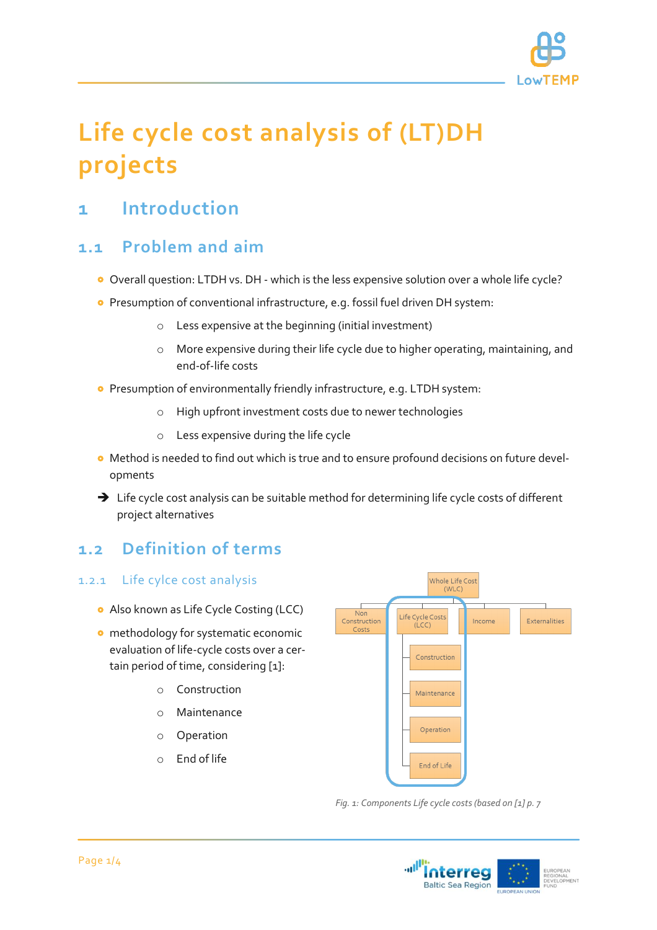

# **Life cycle cost analysis of (LT)DH projects**

# **1 Introduction**

### **1.1 Problem and aim**

- Overall question: LTDH vs. DH which is the less expensive solution over a whole life cycle?
- Presumption of conventional infrastructure, e.g. fossil fuel driven DH system:
	- o Less expensive at the beginning (initial investment)
	- o More expensive during their life cycle due to higher operating, maintaining, and end-of-life costs
- **•** Presumption of environmentally friendly infrastructure, e.g. LTDH system:
	- o High upfront investment costs due to newer technologies
	- o Less expensive during the life cycle
- Method is needed to find out which is true and to ensure profound decisions on future developments
- → Life cycle cost analysis can be suitable method for determining life cycle costs of different project alternatives

## **1.2 Definition of terms**

#### 1.2.1 Life cylce cost analysis

- **•** Also known as Life Cycle Costing (LCC)
- **o** methodology for systematic economic evaluation of life-cycle costs over a certain period of time, considering [1]:
	- o Construction
	- o Maintenance
	- o Operation
	- o End of life



*Fig. 1: Components Life cycle costs (based on [1] p. 7*

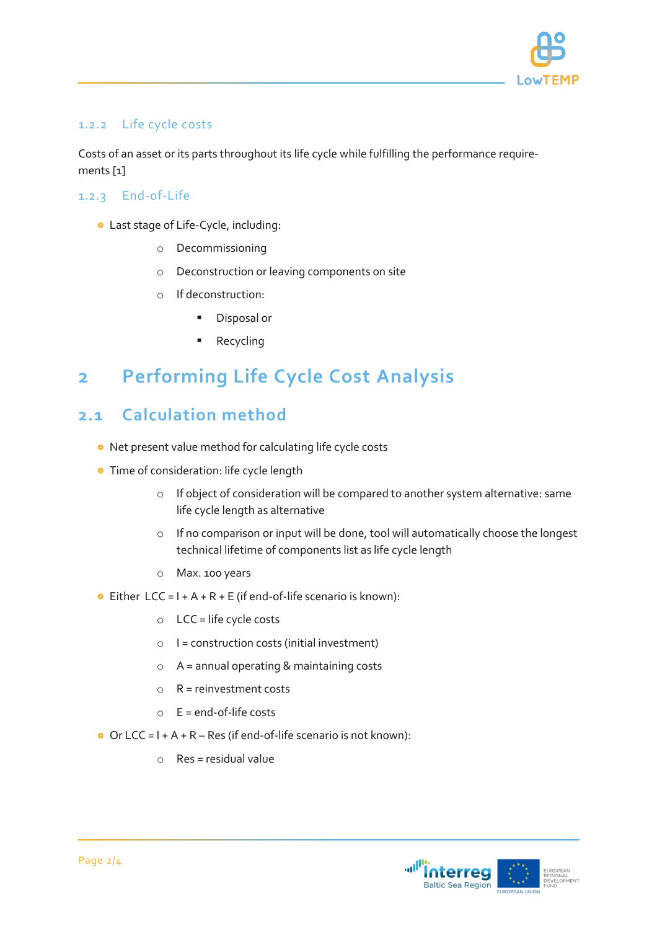

#### 1.2.2 Life cycle costs

Costs of an asset or its parts throughout its life cycle while fulfilling the performance requirements [1]

#### 1.2.3 End-of-Life

- Last stage of Life-Cycle, including:
	- o Decommissioning
	- o Deconstruction or leaving components on site
	- o If deconstruction:
		- **Disposal or**
		- Recycling

# **2 Performing Life Cycle Cost Analysis**

### **2.1 Calculation method**

- Net present value method for calculating life cycle costs
- **•** Time of consideration: life cycle length
	- o If object of consideration will be compared to another system alternative: same life cycle length as alternative
	- o If no comparison or input will be done, tool will automatically choose the longest technical lifetime of components list as life cycle length
	- o Max. 100 years
- **•** Either LCC =  $I + A + R + E$  (if end-of-life scenario is known):
	- $O$  LCC = life cycle costs
	- $\circ$  | = construction costs (initial investment)
	- o A = annual operating & maintaining costs
	- $\circ$  R = reinvestment costs
	- $\circ$  E = end-of-life costs
- Or LCC =  $I + A + R Res$  (if end-of-life scenario is not known):
	- $\circ$  Res = residual value

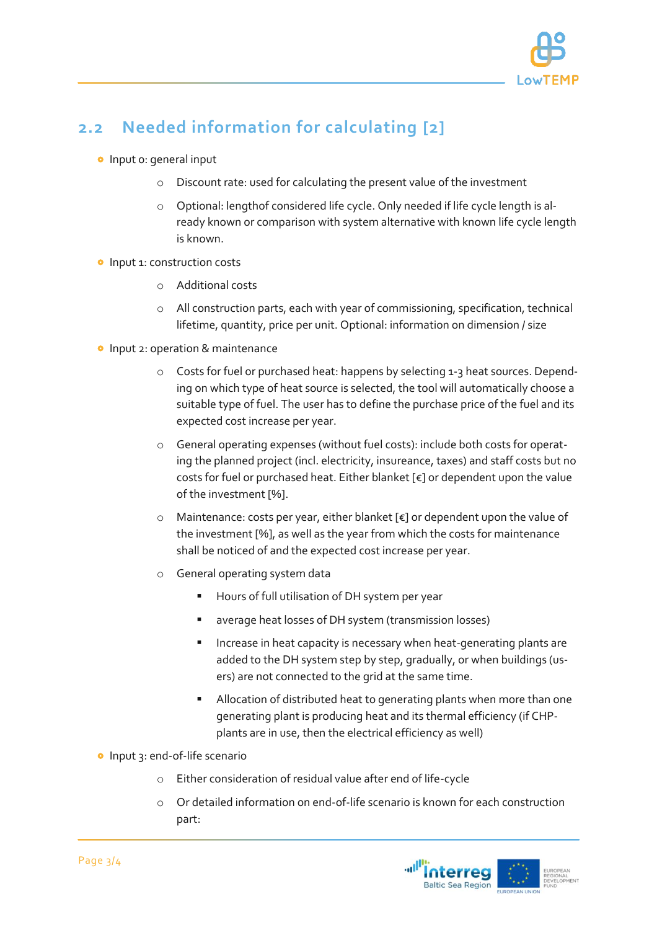

# **2.2 Needed information for calculating [2]**

- **o** Input o: general input
	- Discount rate: used for calculating the present value of the investment
	- o Optional: lengthof considered life cycle. Only needed if life cycle length is already known or comparison with system alternative with known life cycle length is known.
- **o** Input 1: construction costs
	- o Additional costs
	- o All construction parts, each with year of commissioning, specification, technical lifetime, quantity, price per unit. Optional: information on dimension / size
- **o** Input 2: operation & maintenance
	- o Costs for fuel or purchased heat: happens by selecting 1-3 heat sources. Depending on which type of heat source is selected, the tool will automatically choose a suitable type of fuel. The user has to define the purchase price of the fuel and its expected cost increase per year.
	- o General operating expenses (without fuel costs): include both costs for operating the planned project (incl. electricity, insureance, taxes) and staff costs but no costs for fuel or purchased heat. Either blanket [€] or dependent upon the value of the investment [%].
	- o Maintenance: costs per year, either blanket [€] or dependent upon the value of the investment [%], as well as the year from which the costs for maintenance shall be noticed of and the expected cost increase per year.
	- o General operating system data
		- **Hours of full utilisation of DH system per year**
		- average heat losses of DH system (transmission losses)
		- **Increase in heat capacity is necessary when heat-generating plants are** added to the DH system step by step, gradually, or when buildings (users) are not connected to the grid at the same time.
		- Allocation of distributed heat to generating plants when more than one generating plant is producing heat and its thermal efficiency (if CHPplants are in use, then the electrical efficiency as well)
- Input 3: end-of-life scenario
	- o Either consideration of residual value after end of life-cycle
	- o Or detailed information on end-of-life scenario is known for each construction part: